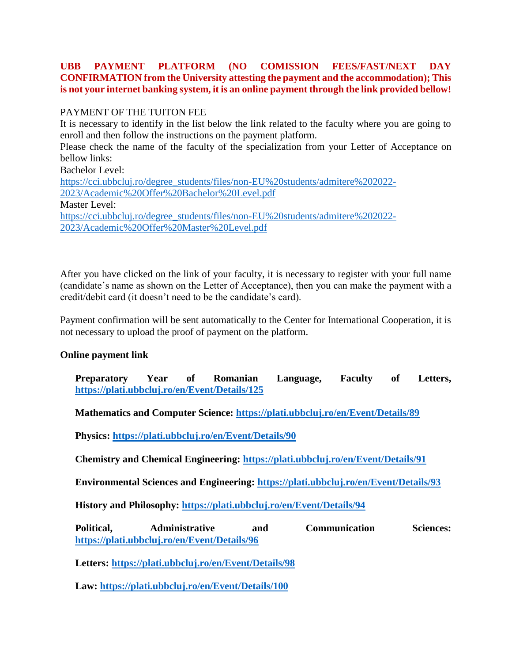## **UBB PAYMENT PLATFORM (NO COMISSION FEES/FAST/NEXT DAY CONFIRMATION from the University attesting the payment and the accommodation); This is not your internet banking system, it is an online payment through the link provided bellow!**

## PAYMENT OF THE TUITON FEE

It is necessary to identify in the list below the link related to the faculty where you are going to enroll and then follow the instructions on the payment platform. Please check the name of the faculty of the specialization from your Letter of Acceptance on bellow links: Bachelor Level: [https://cci.ubbcluj.ro/degree\\_students/files/non-EU%20students/admitere%202022-](https://cci.ubbcluj.ro/degree_students/files/non-EU%20students/admitere%202022-2023/Academic%20Offer%20Bachelor%20Level.pdf) [2023/Academic%20Offer%20Bachelor%20Level.pdf](https://cci.ubbcluj.ro/degree_students/files/non-EU%20students/admitere%202022-2023/Academic%20Offer%20Bachelor%20Level.pdf) Master Level: [https://cci.ubbcluj.ro/degree\\_students/files/non-EU%20students/admitere%202022-](https://cci.ubbcluj.ro/degree_students/files/non-EU%20students/admitere%202022-2023/Academic%20Offer%20Master%20Level.pdf) [2023/Academic%20Offer%20Master%20Level.pdf](https://cci.ubbcluj.ro/degree_students/files/non-EU%20students/admitere%202022-2023/Academic%20Offer%20Master%20Level.pdf)

After you have clicked on the link of your faculty, it is necessary to register with your full name (candidate's name as shown on the Letter of Acceptance), then you can make the payment with a credit/debit card (it doesn't need to be the candidate's card).

Payment confirmation will be sent automatically to the Center for International Cooperation, it is not necessary to upload the proof of payment on the platform.

## **Online payment link**

**Preparatory Year of Romanian Language, Faculty of Letters, <https://plati.ubbcluj.ro/en/Event/Details/125>**

**Mathematics and Computer Science:<https://plati.ubbcluj.ro/en/Event/Details/89>**

**Physics:<https://plati.ubbcluj.ro/en/Event/Details/90>**

**Chemistry and Chemical Engineering:<https://plati.ubbcluj.ro/en/Event/Details/91>**

**Environmental Sciences and Engineering:<https://plati.ubbcluj.ro/en/Event/Details/93>**

**History and Philosophy:<https://plati.ubbcluj.ro/en/Event/Details/94>**

**Political, Administrative and Communication Sciences: <https://plati.ubbcluj.ro/en/Event/Details/96>**

**Letters:<https://plati.ubbcluj.ro/en/Event/Details/98>**

**Law:<https://plati.ubbcluj.ro/en/Event/Details/100>**